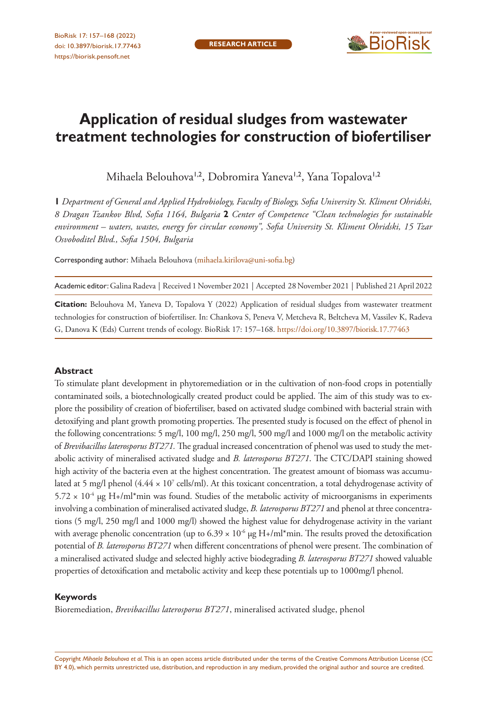

# **Application of residual sludges from wastewater treatment technologies for construction of biofertiliser**

Mihaela Belouhova<sup>1,2</sup>, Dobromira Yaneva<sup>1,2</sup>, Yana Topalova<sup>1,2</sup>

**1** *Department of General and Applied Hydrobiology, Faculty of Biology, Sofia University St. Kliment Ohridski, 8 Dragan Tzankov Blvd, Sofia 1164, Bulgaria* **2** *Center of Competence "Clean technologies for sustainable environment – waters, wastes, energy for circular economy", Sofia University St. Kliment Ohridski, 15 Tzar Osvoboditel Blvd., Sofia 1504, Bulgaria*

Corresponding author: Mihaela Belouhova [\(mihaela.kirilova@uni-sofia.bg\)](mailto:mihaela.kirilova@uni-sofia.bg)

Academic editor: Galina Radeva | Received 1 November 2021 | Accepted 28 November 2021 | Published 21 April 2022

**Citation:** Belouhova M, Yaneva D, Topalova Y (2022) Application of residual sludges from wastewater treatment technologies for construction of biofertiliser. In: Chankova S, Peneva V, Metcheva R, Beltcheva M, Vassilev K, Radeva G, Danova K (Eds) Current trends of ecology. BioRisk 17: 157–168.<https://doi.org/10.3897/biorisk.17.77463>

#### **Abstract**

To stimulate plant development in phytoremediation or in the cultivation of non-food crops in potentially contaminated soils, a biotechnologically created product could be applied. The aim of this study was to explore the possibility of creation of biofertiliser, based on activated sludge combined with bacterial strain with detoxifying and plant growth promoting properties. The presented study is focused on the effect of phenol in the following concentrations: 5 mg/l, 100 mg/l, 250 mg/l, 500 mg/l and 1000 mg/l on the metabolic activity of *Brevibacillus laterosporus BT271.* The gradual increased concentration of phenol was used to study the metabolic activity of mineralised activated sludge and *B. laterosporus BT271*. The CTC/DAPI staining showed high activity of the bacteria even at the highest concentration. The greatest amount of biomass was accumulated at 5 mg/l phenol (4.44 × 10<sup>7</sup> cells/ml). At this toxicant concentration, a total dehydrogenase activity of  $5.72 \times 10^{-4}$  µg H+/ml\*min was found. Studies of the metabolic activity of microorganisms in experiments involving a combination of mineralised activated sludge, *B. laterosporus BT271* and phenol at three concentrations (5 mg/l, 250 mg/l and 1000 mg/l) showed the highest value for dehydrogenase activity in the variant with average phenolic concentration (up to  $6.39 \times 10^{-6}$  µg H+/ml\*min. The results proved the detoxification potential of *B. laterosporus BT271* when different concentrations of phenol were present. The combination of a mineralised activated sludge and selected highly active biodegrading *B. laterosporus BT271* showed valuable properties of detoxification and metabolic activity and keep these potentials up to 1000mg/l phenol.

#### **Keywords**

Bioremediation, *Brevibacillus laterosporus BT271*, mineralised activated sludge, phenol

Copyright *Mihaela Belouhova et al.* This is an open access article distributed under the terms of the [Creative Commons Attribution License \(CC](http://creativecommons.org/licenses/by/4.0/)  [BY 4.0\)](http://creativecommons.org/licenses/by/4.0/), which permits unrestricted use, distribution, and reproduction in any medium, provided the original author and source are credited.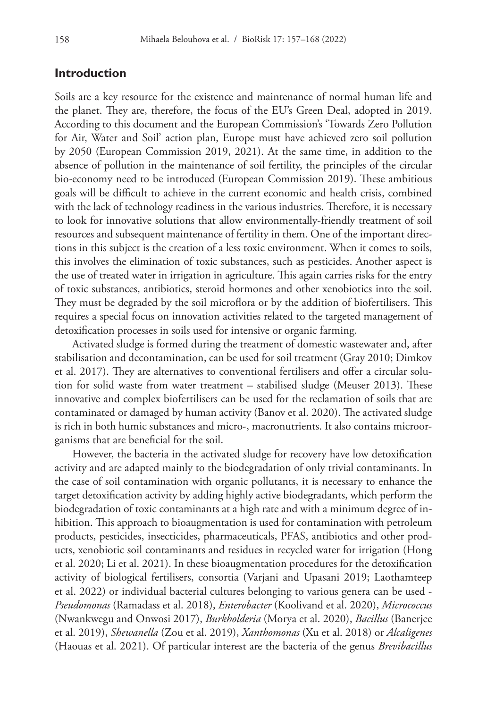## **Introduction**

Soils are a key resource for the existence and maintenance of normal human life and the planet. They are, therefore, the focus of the EU's Green Deal, adopted in 2019. According to this document and the European Commission's 'Towards Zero Pollution for Air, Water and Soil' action plan, Europe must have achieved zero soil pollution by 2050 (European Commission 2019, 2021). At the same time, in addition to the absence of pollution in the maintenance of soil fertility, the principles of the circular bio-economy need to be introduced (European Commission 2019). These ambitious goals will be difficult to achieve in the current economic and health crisis, combined with the lack of technology readiness in the various industries. Therefore, it is necessary to look for innovative solutions that allow environmentally-friendly treatment of soil resources and subsequent maintenance of fertility in them. One of the important directions in this subject is the creation of a less toxic environment. When it comes to soils, this involves the elimination of toxic substances, such as pesticides. Another aspect is the use of treated water in irrigation in agriculture. This again carries risks for the entry of toxic substances, antibiotics, steroid hormones and other xenobiotics into the soil. They must be degraded by the soil microflora or by the addition of biofertilisers. This requires a special focus on innovation activities related to the targeted management of detoxification processes in soils used for intensive or organic farming.

Activated sludge is formed during the treatment of domestic wastewater and, after stabilisation and decontamination, can be used for soil treatment (Gray 2010; Dimkov et al. 2017). They are alternatives to conventional fertilisers and offer a circular solution for solid waste from water treatment – stabilised sludge (Meuser 2013). These innovative and complex biofertilisers can be used for the reclamation of soils that are contaminated or damaged by human activity (Banov et al. 2020). The activated sludge is rich in both humic substances and micro-, macronutrients. It also contains microorganisms that are beneficial for the soil.

However, the bacteria in the activated sludge for recovery have low detoxification activity and are adapted mainly to the biodegradation of only trivial contaminants. In the case of soil contamination with organic pollutants, it is necessary to enhance the target detoxification activity by adding highly active biodegradants, which perform the biodegradation of toxic contaminants at a high rate and with a minimum degree of inhibition. This approach to bioaugmentation is used for contamination with petroleum products, pesticides, insecticides, pharmaceuticals, PFAS, antibiotics and other products, xenobiotic soil contaminants and residues in recycled water for irrigation (Hong et al. 2020; Li et al. 2021). In these bioaugmentation procedures for the detoxification activity of biological fertilisers, consortia (Varjani and Upasani 2019; Laothamteep et al. 2022) or individual bacterial cultures belonging to various genera can be used - *Pseudomonas* (Ramadass et al. 2018), *Enterobacter* (Koolivand et al. 2020), *Micrococcus* (Nwankwegu and Onwosi 2017), *Burkholderia* (Morya et al. 2020), *Bacillus* (Banerjee et al. 2019), *Shewanella* (Zou et al. 2019), *Xanthomonas* (Xu et al. 2018) or *Alcaligenes* (Haouas et al. 2021). Of particular interest are the bacteria of the genus *Brevibacillus*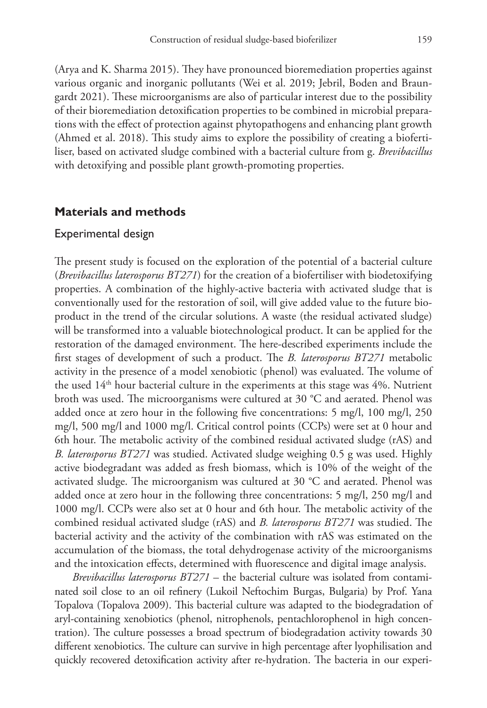(Arya and K. Sharma 2015). They have pronounced bioremediation properties against various organic and inorganic pollutants (Wei et al. 2019; Jebril, Boden and Braungardt 2021). These microorganisms are also of particular interest due to the possibility of their bioremediation detoxification properties to be combined in microbial preparations with the effect of protection against phytopathogens and enhancing plant growth (Ahmed et al. 2018). This study aims to explore the possibility of creating a biofertiliser, based on activated sludge combined with a bacterial culture from g. *Brevibacillus* with detoxifying and possible plant growth-promoting properties.

## **Materials and methods**

#### Experimental design

The present study is focused on the exploration of the potential of a bacterial culture (*Brevibacillus laterosporus BT271*) for the creation of a biofertiliser with biodetoxifying properties. A combination of the highly-active bacteria with activated sludge that is conventionally used for the restoration of soil, will give added value to the future bioproduct in the trend of the circular solutions. A waste (the residual activated sludge) will be transformed into a valuable biotechnological product. It can be applied for the restoration of the damaged environment. The here-described experiments include the first stages of development of such a product. The *B. laterosporus BT271* metabolic activity in the presence of a model xenobiotic (phenol) was evaluated. The volume of the used  $14<sup>th</sup>$  hour bacterial culture in the experiments at this stage was  $4\%$ . Nutrient broth was used. The microorganisms were cultured at 30 °C and aerated. Phenol was added once at zero hour in the following five concentrations: 5 mg/l, 100 mg/l, 250 mg/l, 500 mg/l and 1000 mg/l. Critical control points (CCPs) were set at 0 hour and 6th hour. The metabolic activity of the combined residual activated sludge (rAS) and *B. laterosporus BT271* was studied. Activated sludge weighing 0.5 g was used. Highly active biodegradant was added as fresh biomass, which is 10% of the weight of the activated sludge. The microorganism was cultured at 30 °C and aerated. Phenol was added once at zero hour in the following three concentrations: 5 mg/l, 250 mg/l and 1000 mg/l. CCPs were also set at 0 hour and 6th hour. The metabolic activity of the combined residual activated sludge (rAS) and *B. laterosporus BT271* was studied. The bacterial activity and the activity of the combination with rAS was estimated on the accumulation of the biomass, the total dehydrogenase activity of the microorganisms and the intoxication effects, determined with fluorescence and digital image analysis.

*Brevibacillus laterosporus BT271* – the bacterial culture was isolated from contaminated soil close to an oil refinery (Lukoil Neftochim Burgas, Bulgaria) by Prof. Yana Topalova (Topalova 2009). This bacterial culture was adapted to the biodegradation of aryl-containing xenobiotics (phenol, nitrophenols, pentachlorophenol in high concentration). The culture possesses a broad spectrum of biodegradation activity towards 30 different xenobiotics. The culture can survive in high percentage after lyophilisation and quickly recovered detoxification activity after re-hydration. The bacteria in our experi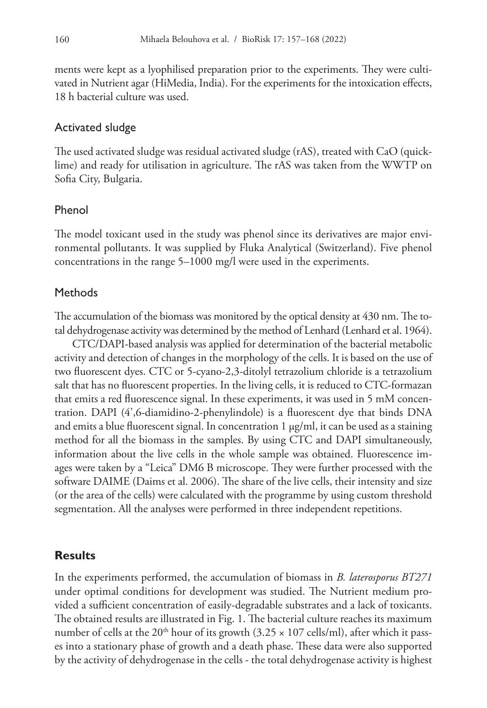ments were kept as a lyophilised preparation prior to the experiments. They were cultivated in Nutrient agar (HiMedia, India). For the experiments for the intoxication effects, 18 h bacterial culture was used.

#### Activated sludge

The used activated sludge was residual activated sludge (rAS), treated with CaO (quicklime) and ready for utilisation in agriculture. The rAS was taken from the WWTP on Sofia City, Bulgaria.

## Phenol

The model toxicant used in the study was phenol since its derivatives are major environmental pollutants. It was supplied by Fluka Analytical (Switzerland). Five phenol concentrations in the range 5–1000 mg/l were used in the experiments.

#### **Methods**

The accumulation of the biomass was monitored by the optical density at 430 nm. The total dehydrogenase activity was determined by the method of Lenhard (Lenhard et al. 1964).

CTC/DAPI-based analysis was applied for determination of the bacterial metabolic activity and detection of changes in the morphology of the cells. It is based on the use of two fluorescent dyes. CTC or 5-cyano-2,3-ditolyl tetrazolium chloride is a tetrazolium salt that has no fluorescent properties. In the living cells, it is reduced to CTC-formazan that emits a red fluorescence signal. In these experiments, it was used in 5 mM concentration. DAPI (4',6-diamidino-2-phenylindole) is a fluorescent dye that binds DNA and emits a blue fluorescent signal. In concentration 1  $\mu$ g/ml, it can be used as a staining method for all the biomass in the samples. By using CTC and DAPI simultaneously, information about the live cells in the whole sample was obtained. Fluorescence images were taken by a "Leica" DM6 B microscope. They were further processed with the software DAIME (Daims et al. 2006). The share of the live cells, their intensity and size (or the area of the cells) were calculated with the programme by using custom threshold segmentation. All the analyses were performed in three independent repetitions.

## **Results**

In the experiments performed, the accumulation of biomass in *B. laterosporus BT271* under optimal conditions for development was studied. The Nutrient medium provided a sufficient concentration of easily-degradable substrates and a lack of toxicants. The obtained results are illustrated in Fig. 1. The bacterial culture reaches its maximum number of cells at the 20<sup>th</sup> hour of its growth  $(3.25 \times 107 \text{ cells/ml})$ , after which it passes into a stationary phase of growth and a death phase. These data were also supported by the activity of dehydrogenase in the cells - the total dehydrogenase activity is highest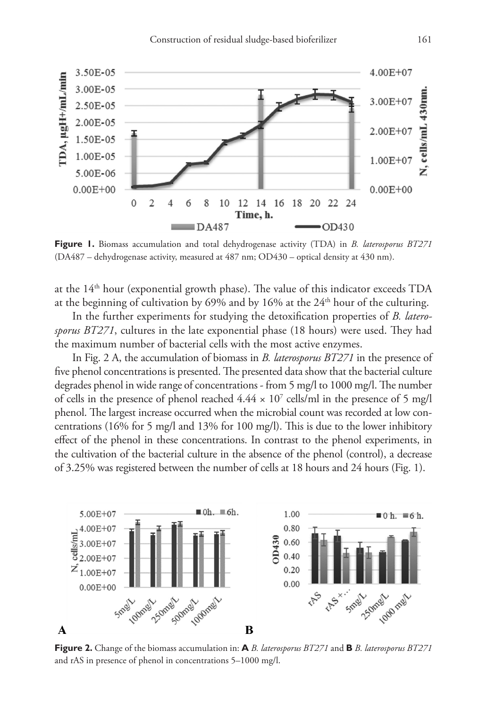

**Figure 1.** Biomass accumulation and total dehydrogenase activity (TDA) in *B. laterosporus BT271* (DA487 – dehydrogenase activity, measured at 487 nm; OD430 – optical density at 430 nm).

at the 14th hour (exponential growth phase). The value of this indicator exceeds TDA at the beginning of cultivation by 69% and by 16% at the  $24<sup>th</sup>$  hour of the culturing.

In the further experiments for studying the detoxification properties of *B. laterosporus BT271*, cultures in the late exponential phase (18 hours) were used. They had the maximum number of bacterial cells with the most active enzymes.

In Fig. 2 A, the accumulation of biomass in *B. laterosporus BT271* in the presence of five phenol concentrations is presented. The presented data show that the bacterial culture degrades phenol in wide range of concentrations - from 5 mg/l to 1000 mg/l. The number of cells in the presence of phenol reached  $4.44 \times 10^7$  cells/ml in the presence of 5 mg/l phenol. The largest increase occurred when the microbial count was recorded at low concentrations (16% for 5 mg/l and 13% for 100 mg/l). This is due to the lower inhibitory effect of the phenol in these concentrations. In contrast to the phenol experiments, in the cultivation of the bacterial culture in the absence of the phenol (control), a decrease of 3.25% was registered between the number of cells at 18 hours and 24 hours (Fig. 1).



**Figure 2.** Change of the biomass accumulation in: **A** *B. laterosporus BT271* and **B** *B. laterosporus BT271* and rAS in presence of phenol in concentrations 5–1000 mg/l.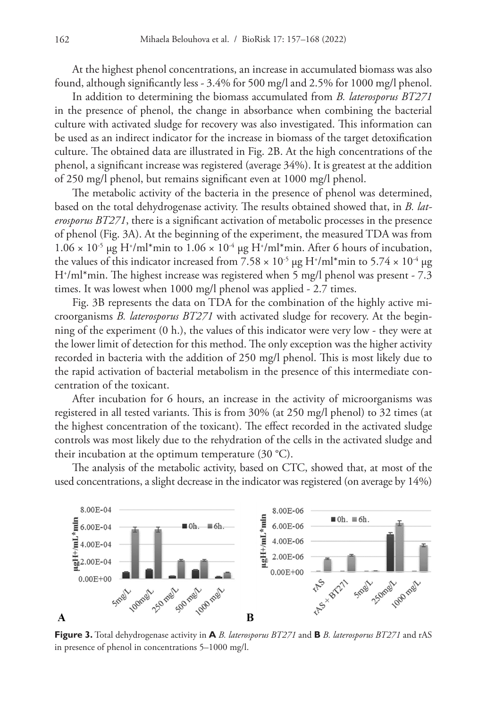At the highest phenol concentrations, an increase in accumulated biomass was also found, although significantly less - 3.4% for 500 mg/l and 2.5% for 1000 mg/l phenol.

In addition to determining the biomass accumulated from *B. laterosporus BT271* in the presence of phenol, the change in absorbance when combining the bacterial culture with activated sludge for recovery was also investigated. This information can be used as an indirect indicator for the increase in biomass of the target detoxification culture. The obtained data are illustrated in Fig. 2B. At the high concentrations of the phenol, a significant increase was registered (average 34%). It is greatest at the addition of 250 mg/l phenol, but remains significant even at 1000 mg/l phenol.

The metabolic activity of the bacteria in the presence of phenol was determined, based on the total dehydrogenase activity. The results obtained showed that, in *B. laterosporus BT271*, there is a significant activation of metabolic processes in the presence of phenol (Fig. 3A). At the beginning of the experiment, the measured TDA was from  $1.06 \times 10^{-5}$  µg H<sup>+</sup>/ml<sup>\*</sup>min to  $1.06 \times 10^{-4}$  µg H<sup>+</sup>/ml<sup>\*</sup>min. After 6 hours of incubation, the values of this indicator increased from 7.58  $\times$  10<sup>-5</sup> µg H<sup>+</sup>/ml\*min to 5.74  $\times$  10<sup>-4</sup> µg H+ /ml\*min. The highest increase was registered when 5 mg/l phenol was present - 7.3 times. It was lowest when 1000 mg/l phenol was applied - 2.7 times.

Fig. 3B represents the data on TDA for the combination of the highly active microorganisms *B. laterosporus BT271* with activated sludge for recovery. At the beginning of the experiment (0 h.), the values of this indicator were very low - they were at the lower limit of detection for this method. The only exception was the higher activity recorded in bacteria with the addition of 250 mg/l phenol. This is most likely due to the rapid activation of bacterial metabolism in the presence of this intermediate concentration of the toxicant.

After incubation for 6 hours, an increase in the activity of microorganisms was registered in all tested variants. This is from 30% (at 250 mg/l phenol) to 32 times (at the highest concentration of the toxicant). The effect recorded in the activated sludge controls was most likely due to the rehydration of the cells in the activated sludge and their incubation at the optimum temperature  $(30 \degree C)$ .

The analysis of the metabolic activity, based on CTC, showed that, at most of the used concentrations, a slight decrease in the indicator was registered (on average by 14%)



**Figure 3.** Total dehydrogenase activity in **A** *B. laterosporus BT271* and **B** *B. laterosporus BT271* and rAS in presence of phenol in concentrations 5–1000 mg/l.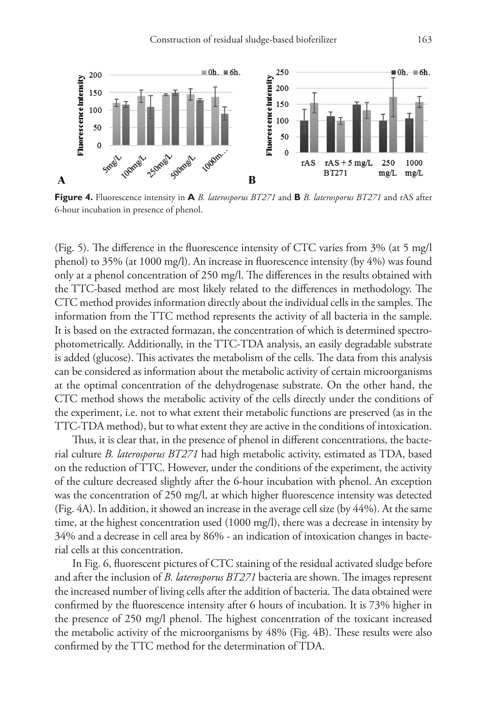

**Figure 4.** Fluorescence intensity in **A** *B. laterosporus BT271* and **B** *B. laterosporus BT271* and rAS after 6-hour incubation in presence of phenol.

(Fig. 5). The difference in the fluorescence intensity of CTC varies from 3% (at 5 mg/l phenol) to 35% (at 1000 mg/l). An increase in fluorescence intensity (by 4%) was found only at a phenol concentration of 250 mg/l. The differences in the results obtained with the TTC-based method are most likely related to the differences in methodology. The CTC method provides information directly about the individual cells in the samples. The information from the TTC method represents the activity of all bacteria in the sample. It is based on the extracted formazan, the concentration of which is determined spectrophotometrically. Additionally, in the TTC-TDA analysis, an easily degradable substrate is added (glucose). This activates the metabolism of the cells. The data from this analysis can be considered as information about the metabolic activity of certain microorganisms at the optimal concentration of the dehydrogenase substrate. On the other hand, the CTC method shows the metabolic activity of the cells directly under the conditions of the experiment, i.e. not to what extent their metabolic functions are preserved (as in the TTC-TDA method), but to what extent they are active in the conditions of intoxication.

Thus, it is clear that, in the presence of phenol in different concentrations, the bacterial culture *B. laterosporus BT271* had high metabolic activity, estimated as TDA, based on the reduction of TTC. However, under the conditions of the experiment, the activity of the culture decreased slightly after the 6-hour incubation with phenol. An exception was the concentration of 250 mg/l, at which higher fluorescence intensity was detected (Fig. 4A). In addition, it showed an increase in the average cell size (by 44%). At the same time, at the highest concentration used (1000 mg/l), there was a decrease in intensity by 34% and a decrease in cell area by 86% - an indication of intoxication changes in bacterial cells at this concentration.

In Fig. 6, fluorescent pictures of CTC staining of the residual activated sludge before and after the inclusion of *B. laterosporus BT271* bacteria are shown. The images represent the increased number of living cells after the addition of bacteria. The data obtained were confirmed by the fluorescence intensity after 6 hours of incubation. It is 73% higher in the presence of 250 mg/l phenol. The highest concentration of the toxicant increased the metabolic activity of the microorganisms by 48% (Fig. 4B). These results were also confirmed by the TTC method for the determination of TDA.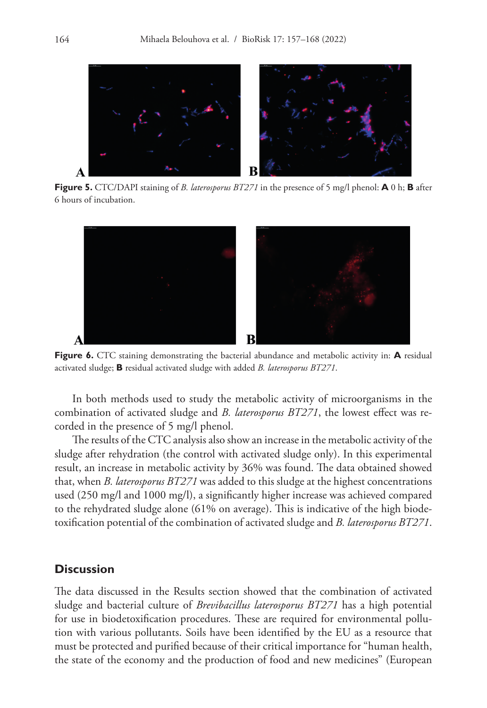

**Figure 5.** CTC/DAPI staining of *B. laterosporus BT271* in the presence of 5 mg/l phenol: **A** 0 h; **B** after 6 hours of incubation.



**Figure 6.** CTC staining demonstrating the bacterial abundance and metabolic activity in: **A** residual activated sludge; **B** residual activated sludge with added *B. laterosporus BT271*.

In both methods used to study the metabolic activity of microorganisms in the combination of activated sludge and *B. laterosporus BT271*, the lowest effect was recorded in the presence of 5 mg/l phenol.

The results of the CTC analysis also show an increase in the metabolic activity of the sludge after rehydration (the control with activated sludge only). In this experimental result, an increase in metabolic activity by 36% was found. The data obtained showed that, when *B. laterosporus BT271* was added to this sludge at the highest concentrations used (250 mg/l and 1000 mg/l), a significantly higher increase was achieved compared to the rehydrated sludge alone (61% on average). This is indicative of the high biodetoxification potential of the combination of activated sludge and *B. laterosporus BT271*.

## **Discussion**

The data discussed in the Results section showed that the combination of activated sludge and bacterial culture of *Brevibacillus laterosporus BT271* has a high potential for use in biodetoxification procedures. These are required for environmental pollution with various pollutants. Soils have been identified by the EU as a resource that must be protected and purified because of their critical importance for "human health, the state of the economy and the production of food and new medicines" (European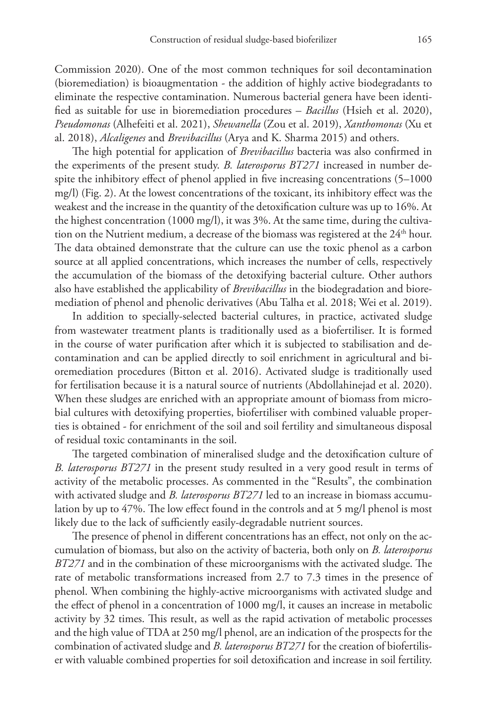Commission 2020). One of the most common techniques for soil decontamination (bioremediation) is bioaugmentation - the addition of highly active biodegradants to eliminate the respective contamination. Numerous bacterial genera have been identified as suitable for use in bioremediation procedures – *Bacillus* (Hsieh et al. 2020), *Pseudomonas* (Alhefeiti et al. 2021), *Shewanella* (Zou et al. 2019), *Xanthomonas* (Xu et al. 2018), *Alcaligenes* and *Brevibacillus* (Arya and K. Sharma 2015) and others.

The high potential for application of *Brevibacillus* bacteria was also confirmed in the experiments of the present study. *B. laterosporus BT271* increased in number despite the inhibitory effect of phenol applied in five increasing concentrations (5–1000 mg/l) (Fig. 2). At the lowest concentrations of the toxicant, its inhibitory effect was the weakest and the increase in the quantity of the detoxification culture was up to 16%. At the highest concentration (1000 mg/l), it was 3%. At the same time, during the cultivation on the Nutrient medium, a decrease of the biomass was registered at the  $24<sup>th</sup>$  hour. The data obtained demonstrate that the culture can use the toxic phenol as a carbon source at all applied concentrations, which increases the number of cells, respectively the accumulation of the biomass of the detoxifying bacterial culture. Other authors also have established the applicability of *Brevibacillus* in the biodegradation and bioremediation of phenol and phenolic derivatives (Abu Talha et al. 2018; Wei et al. 2019).

In addition to specially-selected bacterial cultures, in practice, activated sludge from wastewater treatment plants is traditionally used as a biofertiliser. It is formed in the course of water purification after which it is subjected to stabilisation and decontamination and can be applied directly to soil enrichment in agricultural and bioremediation procedures (Bitton et al. 2016). Activated sludge is traditionally used for fertilisation because it is a natural source of nutrients (Abdollahinejad et al. 2020). When these sludges are enriched with an appropriate amount of biomass from microbial cultures with detoxifying properties, biofertiliser with combined valuable properties is obtained - for enrichment of the soil and soil fertility and simultaneous disposal of residual toxic contaminants in the soil.

The targeted combination of mineralised sludge and the detoxification culture of *B. laterosporus BT271* in the present study resulted in a very good result in terms of activity of the metabolic processes. As commented in the "Results", the combination with activated sludge and *B. laterosporus BT271* led to an increase in biomass accumulation by up to 47%. The low effect found in the controls and at 5 mg/l phenol is most likely due to the lack of sufficiently easily-degradable nutrient sources.

The presence of phenol in different concentrations has an effect, not only on the accumulation of biomass, but also on the activity of bacteria, both only on *B. laterosporus BT271* and in the combination of these microorganisms with the activated sludge. The rate of metabolic transformations increased from 2.7 to 7.3 times in the presence of phenol. When combining the highly-active microorganisms with activated sludge and the effect of phenol in a concentration of 1000 mg/l, it causes an increase in metabolic activity by 32 times. This result, as well as the rapid activation of metabolic processes and the high value of TDA at 250 mg/l phenol, are an indication of the prospects for the combination of activated sludge and *B. laterosporus BT271* for the creation of biofertiliser with valuable combined properties for soil detoxification and increase in soil fertility.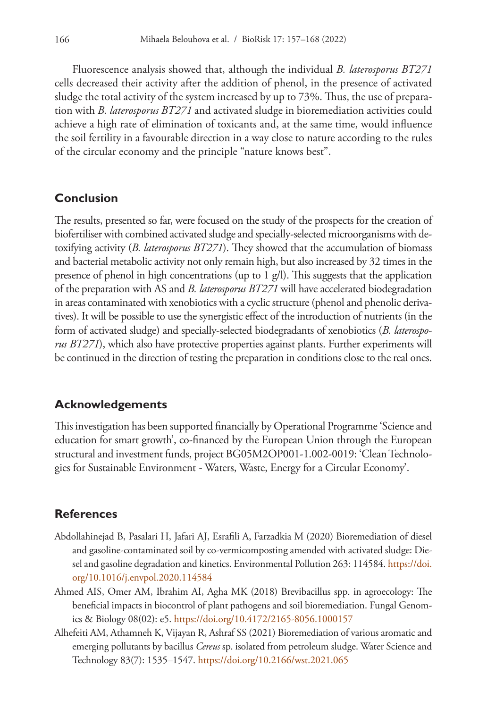Fluorescence analysis showed that, although the individual *B. laterosporus BT271* cells decreased their activity after the addition of phenol, in the presence of activated sludge the total activity of the system increased by up to 73%. Thus, the use of preparation with *B. laterosporus BT271* and activated sludge in bioremediation activities could achieve a high rate of elimination of toxicants and, at the same time, would influence the soil fertility in a favourable direction in a way close to nature according to the rules of the circular economy and the principle "nature knows best".

## **Conclusion**

The results, presented so far, were focused on the study of the prospects for the creation of biofertiliser with combined activated sludge and specially-selected microorganisms with detoxifying activity (*B. laterosporus BT271*). They showed that the accumulation of biomass and bacterial metabolic activity not only remain high, but also increased by 32 times in the presence of phenol in high concentrations (up to  $1$  g/l). This suggests that the application of the preparation with AS and *B. laterosporus BT271* will have accelerated biodegradation in areas contaminated with xenobiotics with a cyclic structure (phenol and phenolic derivatives). It will be possible to use the synergistic effect of the introduction of nutrients (in the form of activated sludge) and specially-selected biodegradants of xenobiotics (*B. laterosporus BT271*), which also have protective properties against plants. Further experiments will be continued in the direction of testing the preparation in conditions close to the real ones.

## **Acknowledgements**

This investigation has been supported financially by Operational Programme 'Science and education for smart growth', co-financed by the European Union through the European structural and investment funds, project BG05M2OP001-1.002-0019: 'Clean Technologies for Sustainable Environment - Waters, Waste, Energy for a Circular Economy'.

## **References**

- Abdollahinejad B, Pasalari H, Jafari AJ, Esrafili A, Farzadkia M (2020) Bioremediation of diesel and gasoline-contaminated soil by co-vermicomposting amended with activated sludge: Diesel and gasoline degradation and kinetics. Environmental Pollution 263: 114584. [https://doi.](https://doi.org/10.1016/j.envpol.2020.114584) [org/10.1016/j.envpol.2020.114584](https://doi.org/10.1016/j.envpol.2020.114584)
- Ahmed AIS, Omer AM, Ibrahim AI, Agha MK (2018) Brevibacillus spp. in agroecology: The beneficial impacts in biocontrol of plant pathogens and soil bioremediation. Fungal Genomics & Biology 08(02): e5.<https://doi.org/10.4172/2165-8056.1000157>
- Alhefeiti AM, Athamneh K, Vijayan R, Ashraf SS (2021) Bioremediation of various aromatic and emerging pollutants by bacillus *Cereus* sp. isolated from petroleum sludge. Water Science and Technology 83(7): 1535–1547.<https://doi.org/10.2166/wst.2021.065>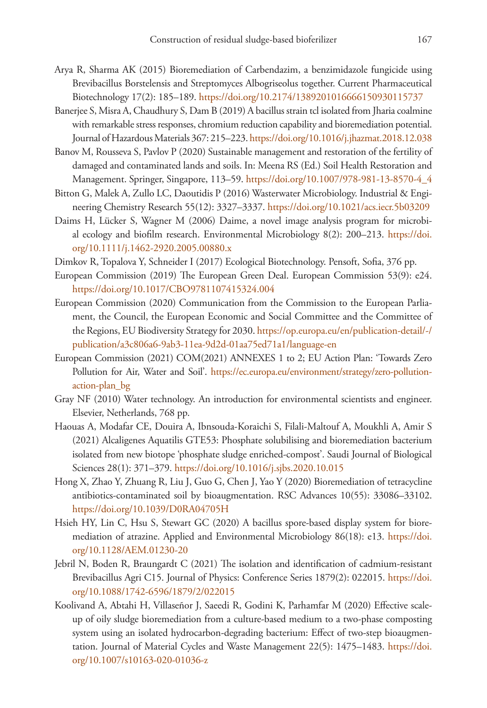- Arya R, Sharma AK (2015) Bioremediation of Carbendazim, a benzimidazole fungicide using Brevibacillus Borstelensis and Streptomyces Albogriseolus together. Current Pharmaceutical Biotechnology 17(2): 185–189.<https://doi.org/10.2174/1389201016666150930115737>
- Banerjee S, Misra A, Chaudhury S, Dam B (2019) A bacillus strain tcl isolated from Jharia coalmine with remarkable stress responses, chromium reduction capability and bioremediation potential. Journal of Hazardous Materials 367: 215–223.<https://doi.org/10.1016/j.jhazmat.2018.12.038>
- Banov M, Rousseva S, Pavlov P (2020) Sustainable management and restoration of the fertility of damaged and contaminated lands and soils. In: Meena RS (Ed.) Soil Health Restoration and Management. Springer, Singapore, 113–59. [https://doi.org/10.1007/978-981-13-8570-4\\_4](https://doi.org/10.1007/978-981-13-8570-4_4)
- Bitton G, Malek A, Zullo LC, Daoutidis P (2016) Wasterwater Microbiology. Industrial & Engineering Chemistry Research 55(12): 3327–3337. <https://doi.org/10.1021/acs.iecr.5b03209>
- Daims H, Lücker S, Wagner M (2006) Daime, a novel image analysis program for microbial ecology and biofilm research. Environmental Microbiology 8(2): 200–213. [https://doi.](https://doi.org/10.1111/j.1462-2920.2005.00880.x) [org/10.1111/j.1462-2920.2005.00880.x](https://doi.org/10.1111/j.1462-2920.2005.00880.x)
- Dimkov R, Topalova Y, Schneider I (2017) Ecological Biotechnology. Pensoft, Sofia, 376 pp.
- European Commission (2019) The European Green Deal. European Commission 53(9): e24. <https://doi.org/10.1017/CBO9781107415324.004>
- European Commission (2020) Communication from the Commission to the European Parliament, the Council, the European Economic and Social Committee and the Committee of the Regions, EU Biodiversity Strategy for 2030. [https://op.europa.eu/en/publication-detail/-/](https://op.europa.eu/en/publication-detail/-/publication/a3c806a6-9ab3-11ea-9d2d-01aa75ed71a1/language-en) [publication/a3c806a6-9ab3-11ea-9d2d-01aa75ed71a1/language-en](https://op.europa.eu/en/publication-detail/-/publication/a3c806a6-9ab3-11ea-9d2d-01aa75ed71a1/language-en)
- European Commission (2021) COM(2021) ANNEXES 1 to 2; EU Action Plan: 'Towards Zero Pollution for Air, Water and Soil'. [https://ec.europa.eu/environment/strategy/zero-pollution](https://ec.europa.eu/environment/strategy/zero-pollution-action-plan_bg)[action-plan\\_bg](https://ec.europa.eu/environment/strategy/zero-pollution-action-plan_bg)
- Gray NF (2010) Water technology. An introduction for environmental scientists and engineer. Elsevier, Netherlands, 768 pp.
- Haouas A, Modafar CE, Douira A, Ibnsouda-Koraichi S, Filali-Maltouf A, Moukhli A, Amir S (2021) Alcaligenes Aquatilis GTE53: Phosphate solubilising and bioremediation bacterium isolated from new biotope 'phosphate sludge enriched-compost'. Saudi Journal of Biological Sciences 28(1): 371–379. <https://doi.org/10.1016/j.sjbs.2020.10.015>
- Hong X, Zhao Y, Zhuang R, Liu J, Guo G, Chen J, Yao Y (2020) Bioremediation of tetracycline antibiotics-contaminated soil by bioaugmentation. RSC Advances 10(55): 33086–33102. <https://doi.org/10.1039/D0RA04705H>
- Hsieh HY, Lin C, Hsu S, Stewart GC (2020) A bacillus spore-based display system for bioremediation of atrazine. Applied and Environmental Microbiology 86(18): e13. [https://doi.](https://doi.org/10.1128/AEM.01230-20) [org/10.1128/AEM.01230-20](https://doi.org/10.1128/AEM.01230-20)
- Jebril N, Boden R, Braungardt C (2021) The isolation and identification of cadmium-resistant Brevibacillus Agri C15. Journal of Physics: Conference Series 1879(2): 022015. [https://doi.](https://doi.org/10.1088/1742-6596/1879/2/022015) [org/10.1088/1742-6596/1879/2/022015](https://doi.org/10.1088/1742-6596/1879/2/022015)
- Koolivand A, Abtahi H, Villaseñor J, Saeedi R, Godini K, Parhamfar M (2020) Effective scaleup of oily sludge bioremediation from a culture-based medium to a two-phase composting system using an isolated hydrocarbon-degrading bacterium: Effect of two-step bioaugmentation. Journal of Material Cycles and Waste Management 22(5): 1475–1483. [https://doi.](https://doi.org/10.1007/s10163-020-01036-z) [org/10.1007/s10163-020-01036-z](https://doi.org/10.1007/s10163-020-01036-z)